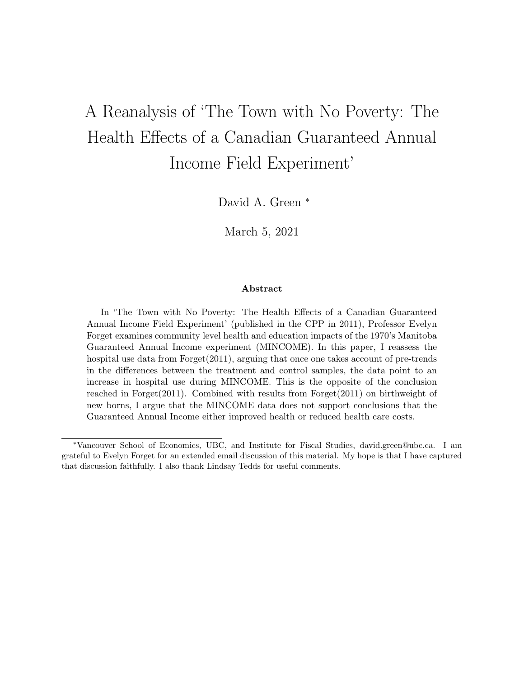# A Reanalysis of 'The Town with No Poverty: The Health Effects of a Canadian Guaranteed Annual Income Field Experiment'

David A. Green <sup>∗</sup>

March 5, 2021

#### Abstract

In 'The Town with No Poverty: The Health Effects of a Canadian Guaranteed Annual Income Field Experiment' (published in the CPP in 2011), Professor Evelyn Forget examines community level health and education impacts of the 1970's Manitoba Guaranteed Annual Income experiment (MINCOME). In this paper, I reassess the hospital use data from Forget(2011), arguing that once one takes account of pre-trends in the differences between the treatment and control samples, the data point to an increase in hospital use during MINCOME. This is the opposite of the conclusion reached in Forget(2011). Combined with results from Forget(2011) on birthweight of new borns, I argue that the MINCOME data does not support conclusions that the Guaranteed Annual Income either improved health or reduced health care costs.

<sup>∗</sup>Vancouver School of Economics, UBC, and Institute for Fiscal Studies, david.green@ubc.ca. I am grateful to Evelyn Forget for an extended email discussion of this material. My hope is that I have captured that discussion faithfully. I also thank Lindsay Tedds for useful comments.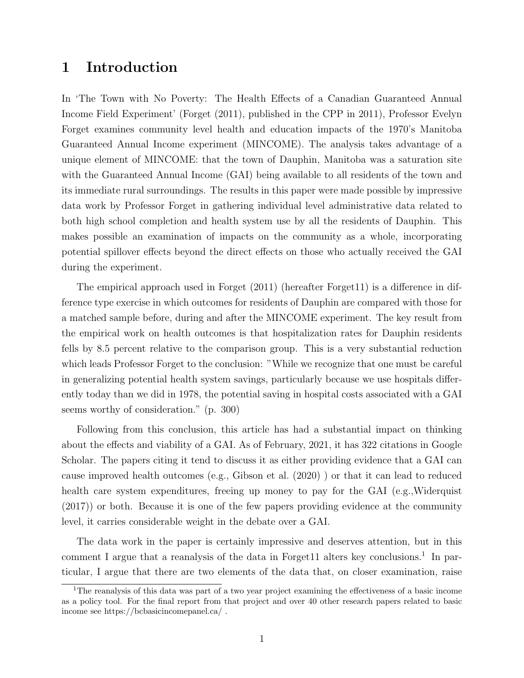## 1 Introduction

In 'The Town with No Poverty: The Health Effects of a Canadian Guaranteed Annual Income Field Experiment' (Forget (2011), published in the CPP in 2011), Professor Evelyn Forget examines community level health and education impacts of the 1970's Manitoba Guaranteed Annual Income experiment (MINCOME). The analysis takes advantage of a unique element of MINCOME: that the town of Dauphin, Manitoba was a saturation site with the Guaranteed Annual Income (GAI) being available to all residents of the town and its immediate rural surroundings. The results in this paper were made possible by impressive data work by Professor Forget in gathering individual level administrative data related to both high school completion and health system use by all the residents of Dauphin. This makes possible an examination of impacts on the community as a whole, incorporating potential spillover effects beyond the direct effects on those who actually received the GAI during the experiment.

The empirical approach used in Forget (2011) (hereafter Forget11) is a difference in difference type exercise in which outcomes for residents of Dauphin are compared with those for a matched sample before, during and after the MINCOME experiment. The key result from the empirical work on health outcomes is that hospitalization rates for Dauphin residents fells by 8.5 percent relative to the comparison group. This is a very substantial reduction which leads Professor Forget to the conclusion: "While we recognize that one must be careful in generalizing potential health system savings, particularly because we use hospitals differently today than we did in 1978, the potential saving in hospital costs associated with a GAI seems worthy of consideration." (p. 300)

Following from this conclusion, this article has had a substantial impact on thinking about the effects and viability of a GAI. As of February, 2021, it has 322 citations in Google Scholar. The papers citing it tend to discuss it as either providing evidence that a GAI can cause improved health outcomes (e.g., Gibson et al. (2020) ) or that it can lead to reduced health care system expenditures, freeing up money to pay for the GAI (e.g., Widerquist (2017)) or both. Because it is one of the few papers providing evidence at the community level, it carries considerable weight in the debate over a GAI.

The data work in the paper is certainly impressive and deserves attention, but in this comment I argue that a reanalysis of the data in Forget11 alters key conclusions.<sup>1</sup> In particular, I argue that there are two elements of the data that, on closer examination, raise

<sup>1</sup>The reanalysis of this data was part of a two year project examining the effectiveness of a basic income as a policy tool. For the final report from that project and over 40 other research papers related to basic income see https://bcbasicincomepanel.ca/ .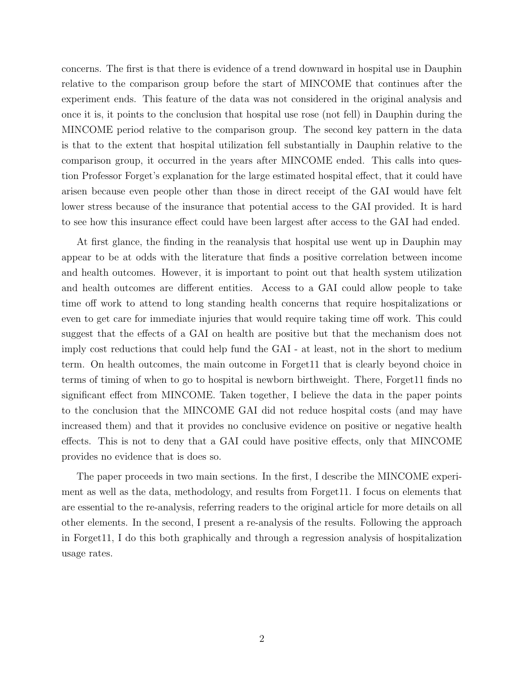concerns. The first is that there is evidence of a trend downward in hospital use in Dauphin relative to the comparison group before the start of MINCOME that continues after the experiment ends. This feature of the data was not considered in the original analysis and once it is, it points to the conclusion that hospital use rose (not fell) in Dauphin during the MINCOME period relative to the comparison group. The second key pattern in the data is that to the extent that hospital utilization fell substantially in Dauphin relative to the comparison group, it occurred in the years after MINCOME ended. This calls into question Professor Forget's explanation for the large estimated hospital effect, that it could have arisen because even people other than those in direct receipt of the GAI would have felt lower stress because of the insurance that potential access to the GAI provided. It is hard to see how this insurance effect could have been largest after access to the GAI had ended.

At first glance, the finding in the reanalysis that hospital use went up in Dauphin may appear to be at odds with the literature that finds a positive correlation between income and health outcomes. However, it is important to point out that health system utilization and health outcomes are different entities. Access to a GAI could allow people to take time off work to attend to long standing health concerns that require hospitalizations or even to get care for immediate injuries that would require taking time off work. This could suggest that the effects of a GAI on health are positive but that the mechanism does not imply cost reductions that could help fund the GAI - at least, not in the short to medium term. On health outcomes, the main outcome in Forget11 that is clearly beyond choice in terms of timing of when to go to hospital is newborn birthweight. There, Forget11 finds no significant effect from MINCOME. Taken together, I believe the data in the paper points to the conclusion that the MINCOME GAI did not reduce hospital costs (and may have increased them) and that it provides no conclusive evidence on positive or negative health effects. This is not to deny that a GAI could have positive effects, only that MINCOME provides no evidence that is does so.

The paper proceeds in two main sections. In the first, I describe the MINCOME experiment as well as the data, methodology, and results from Forget11. I focus on elements that are essential to the re-analysis, referring readers to the original article for more details on all other elements. In the second, I present a re-analysis of the results. Following the approach in Forget11, I do this both graphically and through a regression analysis of hospitalization usage rates.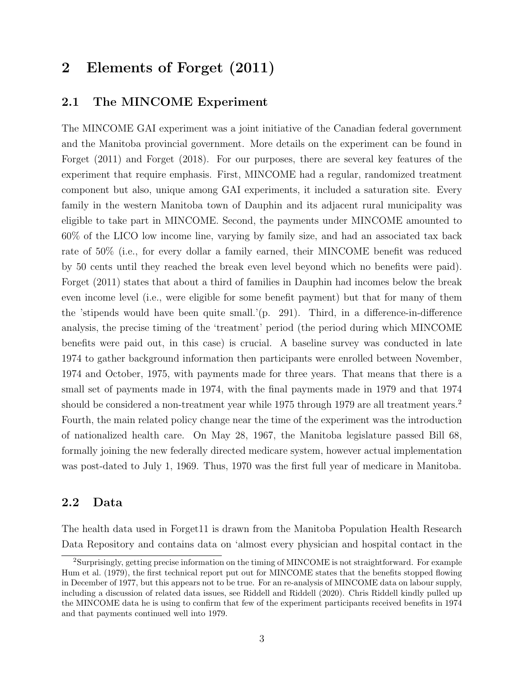## 2 Elements of Forget (2011)

#### 2.1 The MINCOME Experiment

The MINCOME GAI experiment was a joint initiative of the Canadian federal government and the Manitoba provincial government. More details on the experiment can be found in Forget (2011) and Forget (2018). For our purposes, there are several key features of the experiment that require emphasis. First, MINCOME had a regular, randomized treatment component but also, unique among GAI experiments, it included a saturation site. Every family in the western Manitoba town of Dauphin and its adjacent rural municipality was eligible to take part in MINCOME. Second, the payments under MINCOME amounted to 60% of the LICO low income line, varying by family size, and had an associated tax back rate of 50% (i.e., for every dollar a family earned, their MINCOME benefit was reduced by 50 cents until they reached the break even level beyond which no benefits were paid). Forget (2011) states that about a third of families in Dauphin had incomes below the break even income level (i.e., were eligible for some benefit payment) but that for many of them the 'stipends would have been quite small.'(p. 291). Third, in a difference-in-difference analysis, the precise timing of the 'treatment' period (the period during which MINCOME benefits were paid out, in this case) is crucial. A baseline survey was conducted in late 1974 to gather background information then participants were enrolled between November, 1974 and October, 1975, with payments made for three years. That means that there is a small set of payments made in 1974, with the final payments made in 1979 and that 1974 should be considered a non-treatment year while 1975 through 1979 are all treatment years.<sup>2</sup> Fourth, the main related policy change near the time of the experiment was the introduction of nationalized health care. On May 28, 1967, the Manitoba legislature passed Bill 68, formally joining the new federally directed medicare system, however actual implementation was post-dated to July 1, 1969. Thus, 1970 was the first full year of medicare in Manitoba.

#### 2.2 Data

The health data used in Forget11 is drawn from the Manitoba Population Health Research Data Repository and contains data on 'almost every physician and hospital contact in the

<sup>2</sup>Surprisingly, getting precise information on the timing of MINCOME is not straightforward. For example Hum et al. (1979), the first technical report put out for MINCOME states that the benefits stopped flowing in December of 1977, but this appears not to be true. For an re-analysis of MINCOME data on labour supply, including a discussion of related data issues, see Riddell and Riddell (2020). Chris Riddell kindly pulled up the MINCOME data he is using to confirm that few of the experiment participants received benefits in 1974 and that payments continued well into 1979.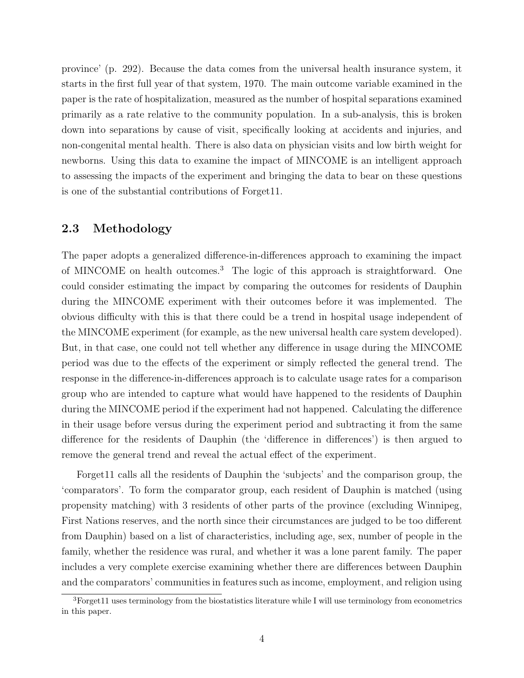province' (p. 292). Because the data comes from the universal health insurance system, it starts in the first full year of that system, 1970. The main outcome variable examined in the paper is the rate of hospitalization, measured as the number of hospital separations examined primarily as a rate relative to the community population. In a sub-analysis, this is broken down into separations by cause of visit, specifically looking at accidents and injuries, and non-congenital mental health. There is also data on physician visits and low birth weight for newborns. Using this data to examine the impact of MINCOME is an intelligent approach to assessing the impacts of the experiment and bringing the data to bear on these questions is one of the substantial contributions of Forget11.

#### 2.3 Methodology

The paper adopts a generalized difference-in-differences approach to examining the impact of MINCOME on health outcomes.<sup>3</sup> The logic of this approach is straightforward. One could consider estimating the impact by comparing the outcomes for residents of Dauphin during the MINCOME experiment with their outcomes before it was implemented. The obvious difficulty with this is that there could be a trend in hospital usage independent of the MINCOME experiment (for example, as the new universal health care system developed). But, in that case, one could not tell whether any difference in usage during the MINCOME period was due to the effects of the experiment or simply reflected the general trend. The response in the difference-in-differences approach is to calculate usage rates for a comparison group who are intended to capture what would have happened to the residents of Dauphin during the MINCOME period if the experiment had not happened. Calculating the difference in their usage before versus during the experiment period and subtracting it from the same difference for the residents of Dauphin (the 'difference in differences') is then argued to remove the general trend and reveal the actual effect of the experiment.

Forget11 calls all the residents of Dauphin the 'subjects' and the comparison group, the 'comparators'. To form the comparator group, each resident of Dauphin is matched (using propensity matching) with 3 residents of other parts of the province (excluding Winnipeg, First Nations reserves, and the north since their circumstances are judged to be too different from Dauphin) based on a list of characteristics, including age, sex, number of people in the family, whether the residence was rural, and whether it was a lone parent family. The paper includes a very complete exercise examining whether there are differences between Dauphin and the comparators' communities in features such as income, employment, and religion using

 $3$ Forget11 uses terminology from the biostatistics literature while I will use terminology from econometrics in this paper.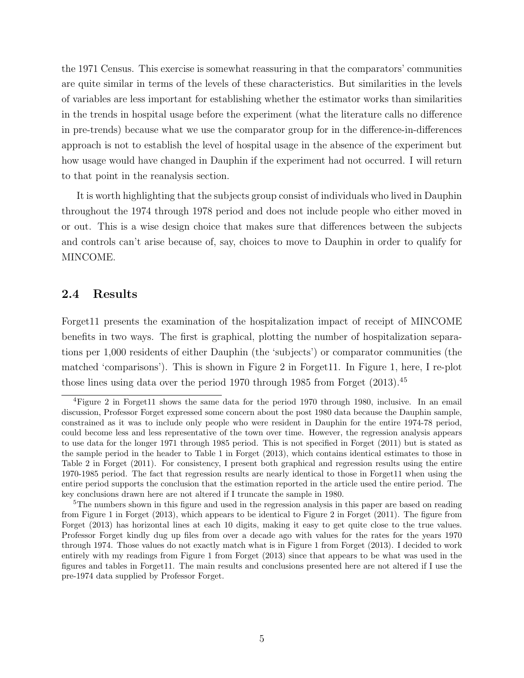the 1971 Census. This exercise is somewhat reassuring in that the comparators' communities are quite similar in terms of the levels of these characteristics. But similarities in the levels of variables are less important for establishing whether the estimator works than similarities in the trends in hospital usage before the experiment (what the literature calls no difference in pre-trends) because what we use the comparator group for in the difference-in-differences approach is not to establish the level of hospital usage in the absence of the experiment but how usage would have changed in Dauphin if the experiment had not occurred. I will return to that point in the reanalysis section.

It is worth highlighting that the subjects group consist of individuals who lived in Dauphin throughout the 1974 through 1978 period and does not include people who either moved in or out. This is a wise design choice that makes sure that differences between the subjects and controls can't arise because of, say, choices to move to Dauphin in order to qualify for MINCOME.

#### 2.4 Results

Forget11 presents the examination of the hospitalization impact of receipt of MINCOME benefits in two ways. The first is graphical, plotting the number of hospitalization separations per 1,000 residents of either Dauphin (the 'subjects') or comparator communities (the matched 'comparisons'). This is shown in Figure 2 in Forget11. In Figure 1, here, I re-plot those lines using data over the period 1970 through 1985 from Forget  $(2013).<sup>45</sup>$ 

<sup>&</sup>lt;sup>4</sup>Figure 2 in Forget11 shows the same data for the period 1970 through 1980, inclusive. In an email discussion, Professor Forget expressed some concern about the post 1980 data because the Dauphin sample, constrained as it was to include only people who were resident in Dauphin for the entire 1974-78 period, could become less and less representative of the town over time. However, the regression analysis appears to use data for the longer 1971 through 1985 period. This is not specified in Forget (2011) but is stated as the sample period in the header to Table 1 in Forget (2013), which contains identical estimates to those in Table 2 in Forget (2011). For consistency, I present both graphical and regression results using the entire 1970-1985 period. The fact that regression results are nearly identical to those in Forget11 when using the entire period supports the conclusion that the estimation reported in the article used the entire period. The key conclusions drawn here are not altered if I truncate the sample in 1980.

<sup>&</sup>lt;sup>5</sup>The numbers shown in this figure and used in the regression analysis in this paper are based on reading from Figure 1 in Forget (2013), which appears to be identical to Figure 2 in Forget (2011). The figure from Forget (2013) has horizontal lines at each 10 digits, making it easy to get quite close to the true values. Professor Forget kindly dug up files from over a decade ago with values for the rates for the years 1970 through 1974. Those values do not exactly match what is in Figure 1 from Forget (2013). I decided to work entirely with my readings from Figure 1 from Forget (2013) since that appears to be what was used in the figures and tables in Forget11. The main results and conclusions presented here are not altered if I use the pre-1974 data supplied by Professor Forget.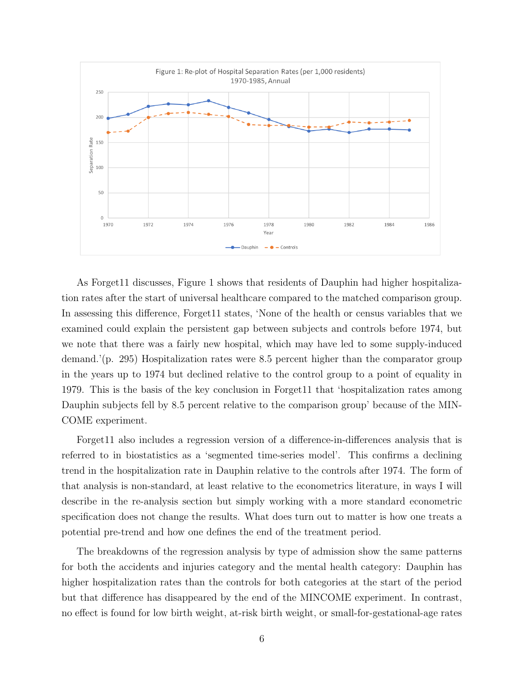

As Forget11 discusses, Figure 1 shows that residents of Dauphin had higher hospitalization rates after the start of universal healthcare compared to the matched comparison group. In assessing this difference, Forget11 states, 'None of the health or census variables that we examined could explain the persistent gap between subjects and controls before 1974, but we note that there was a fairly new hospital, which may have led to some supply-induced demand.'(p. 295) Hospitalization rates were 8.5 percent higher than the comparator group in the years up to 1974 but declined relative to the control group to a point of equality in 1979. This is the basis of the key conclusion in Forget11 that 'hospitalization rates among Dauphin subjects fell by 8.5 percent relative to the comparison group' because of the MIN-COME experiment.

Forget11 also includes a regression version of a difference-in-differences analysis that is referred to in biostatistics as a 'segmented time-series model'. This confirms a declining trend in the hospitalization rate in Dauphin relative to the controls after 1974. The form of that analysis is non-standard, at least relative to the econometrics literature, in ways I will describe in the re-analysis section but simply working with a more standard econometric specification does not change the results. What does turn out to matter is how one treats a potential pre-trend and how one defines the end of the treatment period.

The breakdowns of the regression analysis by type of admission show the same patterns for both the accidents and injuries category and the mental health category: Dauphin has higher hospitalization rates than the controls for both categories at the start of the period but that difference has disappeared by the end of the MINCOME experiment. In contrast, no effect is found for low birth weight, at-risk birth weight, or small-for-gestational-age rates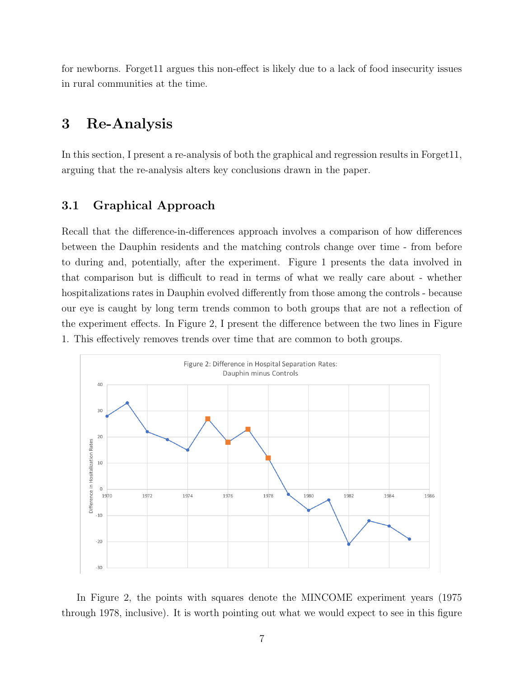for newborns. Forget11 argues this non-effect is likely due to a lack of food insecurity issues in rural communities at the time.

## 3 Re-Analysis

In this section, I present a re-analysis of both the graphical and regression results in Forget11, arguing that the re-analysis alters key conclusions drawn in the paper.

### 3.1 Graphical Approach

Recall that the difference-in-differences approach involves a comparison of how differences between the Dauphin residents and the matching controls change over time - from before to during and, potentially, after the experiment. Figure 1 presents the data involved in that comparison but is difficult to read in terms of what we really care about - whether hospitalizations rates in Dauphin evolved differently from those among the controls - because our eye is caught by long term trends common to both groups that are not a reflection of the experiment effects. In Figure 2, I present the difference between the two lines in Figure 1. This effectively removes trends over time that are common to both groups.



In Figure 2, the points with squares denote the MINCOME experiment years (1975 through 1978, inclusive). It is worth pointing out what we would expect to see in this figure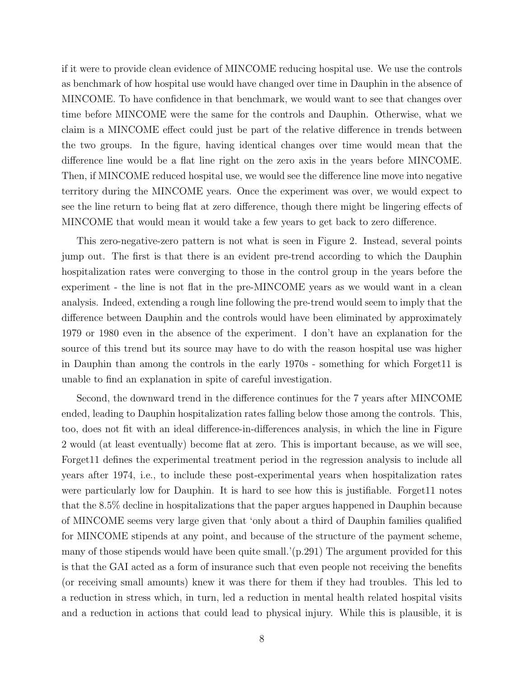if it were to provide clean evidence of MINCOME reducing hospital use. We use the controls as benchmark of how hospital use would have changed over time in Dauphin in the absence of MINCOME. To have confidence in that benchmark, we would want to see that changes over time before MINCOME were the same for the controls and Dauphin. Otherwise, what we claim is a MINCOME effect could just be part of the relative difference in trends between the two groups. In the figure, having identical changes over time would mean that the difference line would be a flat line right on the zero axis in the years before MINCOME. Then, if MINCOME reduced hospital use, we would see the difference line move into negative territory during the MINCOME years. Once the experiment was over, we would expect to see the line return to being flat at zero difference, though there might be lingering effects of MINCOME that would mean it would take a few years to get back to zero difference.

This zero-negative-zero pattern is not what is seen in Figure 2. Instead, several points jump out. The first is that there is an evident pre-trend according to which the Dauphin hospitalization rates were converging to those in the control group in the years before the experiment - the line is not flat in the pre-MINCOME years as we would want in a clean analysis. Indeed, extending a rough line following the pre-trend would seem to imply that the difference between Dauphin and the controls would have been eliminated by approximately 1979 or 1980 even in the absence of the experiment. I don't have an explanation for the source of this trend but its source may have to do with the reason hospital use was higher in Dauphin than among the controls in the early 1970s - something for which Forget11 is unable to find an explanation in spite of careful investigation.

Second, the downward trend in the difference continues for the 7 years after MINCOME ended, leading to Dauphin hospitalization rates falling below those among the controls. This, too, does not fit with an ideal difference-in-differences analysis, in which the line in Figure 2 would (at least eventually) become flat at zero. This is important because, as we will see, Forget11 defines the experimental treatment period in the regression analysis to include all years after 1974, i.e., to include these post-experimental years when hospitalization rates were particularly low for Dauphin. It is hard to see how this is justifiable. Forget11 notes that the 8.5% decline in hospitalizations that the paper argues happened in Dauphin because of MINCOME seems very large given that 'only about a third of Dauphin families qualified for MINCOME stipends at any point, and because of the structure of the payment scheme, many of those stipends would have been quite small.'(p.291) The argument provided for this is that the GAI acted as a form of insurance such that even people not receiving the benefits (or receiving small amounts) knew it was there for them if they had troubles. This led to a reduction in stress which, in turn, led a reduction in mental health related hospital visits and a reduction in actions that could lead to physical injury. While this is plausible, it is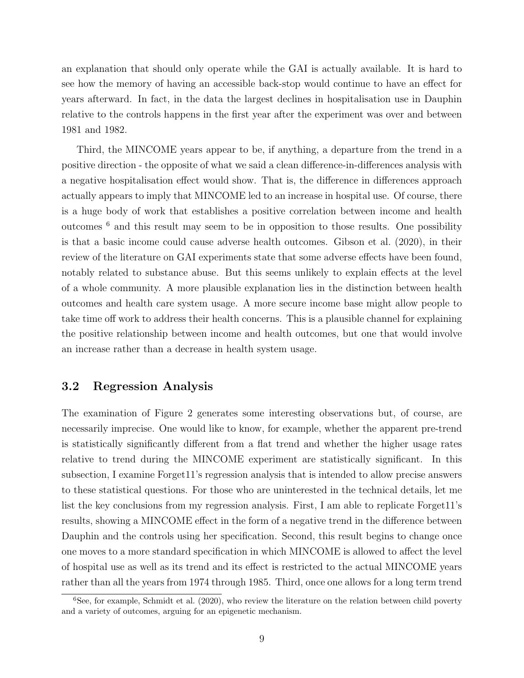an explanation that should only operate while the GAI is actually available. It is hard to see how the memory of having an accessible back-stop would continue to have an effect for years afterward. In fact, in the data the largest declines in hospitalisation use in Dauphin relative to the controls happens in the first year after the experiment was over and between 1981 and 1982.

Third, the MINCOME years appear to be, if anything, a departure from the trend in a positive direction - the opposite of what we said a clean difference-in-differences analysis with a negative hospitalisation effect would show. That is, the difference in differences approach actually appears to imply that MINCOME led to an increase in hospital use. Of course, there is a huge body of work that establishes a positive correlation between income and health outcomes <sup>6</sup> and this result may seem to be in opposition to those results. One possibility is that a basic income could cause adverse health outcomes. Gibson et al. (2020), in their review of the literature on GAI experiments state that some adverse effects have been found, notably related to substance abuse. But this seems unlikely to explain effects at the level of a whole community. A more plausible explanation lies in the distinction between health outcomes and health care system usage. A more secure income base might allow people to take time off work to address their health concerns. This is a plausible channel for explaining the positive relationship between income and health outcomes, but one that would involve an increase rather than a decrease in health system usage.

#### 3.2 Regression Analysis

The examination of Figure 2 generates some interesting observations but, of course, are necessarily imprecise. One would like to know, for example, whether the apparent pre-trend is statistically significantly different from a flat trend and whether the higher usage rates relative to trend during the MINCOME experiment are statistically significant. In this subsection, I examine Forget11's regression analysis that is intended to allow precise answers to these statistical questions. For those who are uninterested in the technical details, let me list the key conclusions from my regression analysis. First, I am able to replicate Forget11's results, showing a MINCOME effect in the form of a negative trend in the difference between Dauphin and the controls using her specification. Second, this result begins to change once one moves to a more standard specification in which MINCOME is allowed to affect the level of hospital use as well as its trend and its effect is restricted to the actual MINCOME years rather than all the years from 1974 through 1985. Third, once one allows for a long term trend

 $6$ See, for example, Schmidt et al. (2020), who review the literature on the relation between child poverty and a variety of outcomes, arguing for an epigenetic mechanism.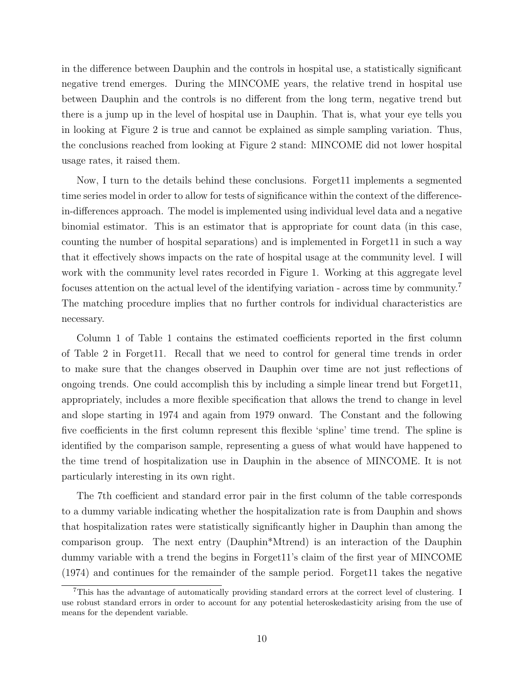in the difference between Dauphin and the controls in hospital use, a statistically significant negative trend emerges. During the MINCOME years, the relative trend in hospital use between Dauphin and the controls is no different from the long term, negative trend but there is a jump up in the level of hospital use in Dauphin. That is, what your eye tells you in looking at Figure 2 is true and cannot be explained as simple sampling variation. Thus, the conclusions reached from looking at Figure 2 stand: MINCOME did not lower hospital usage rates, it raised them.

Now, I turn to the details behind these conclusions. Forget11 implements a segmented time series model in order to allow for tests of significance within the context of the differencein-differences approach. The model is implemented using individual level data and a negative binomial estimator. This is an estimator that is appropriate for count data (in this case, counting the number of hospital separations) and is implemented in Forget11 in such a way that it effectively shows impacts on the rate of hospital usage at the community level. I will work with the community level rates recorded in Figure 1. Working at this aggregate level focuses attention on the actual level of the identifying variation - across time by community.<sup>7</sup> The matching procedure implies that no further controls for individual characteristics are necessary.

Column 1 of Table 1 contains the estimated coefficients reported in the first column of Table 2 in Forget11. Recall that we need to control for general time trends in order to make sure that the changes observed in Dauphin over time are not just reflections of ongoing trends. One could accomplish this by including a simple linear trend but Forget11, appropriately, includes a more flexible specification that allows the trend to change in level and slope starting in 1974 and again from 1979 onward. The Constant and the following five coefficients in the first column represent this flexible 'spline' time trend. The spline is identified by the comparison sample, representing a guess of what would have happened to the time trend of hospitalization use in Dauphin in the absence of MINCOME. It is not particularly interesting in its own right.

The 7th coefficient and standard error pair in the first column of the table corresponds to a dummy variable indicating whether the hospitalization rate is from Dauphin and shows that hospitalization rates were statistically significantly higher in Dauphin than among the comparison group. The next entry (Dauphin\*Mtrend) is an interaction of the Dauphin dummy variable with a trend the begins in Forget11's claim of the first year of MINCOME (1974) and continues for the remainder of the sample period. Forget11 takes the negative

<sup>7</sup>This has the advantage of automatically providing standard errors at the correct level of clustering. I use robust standard errors in order to account for any potential heteroskedasticity arising from the use of means for the dependent variable.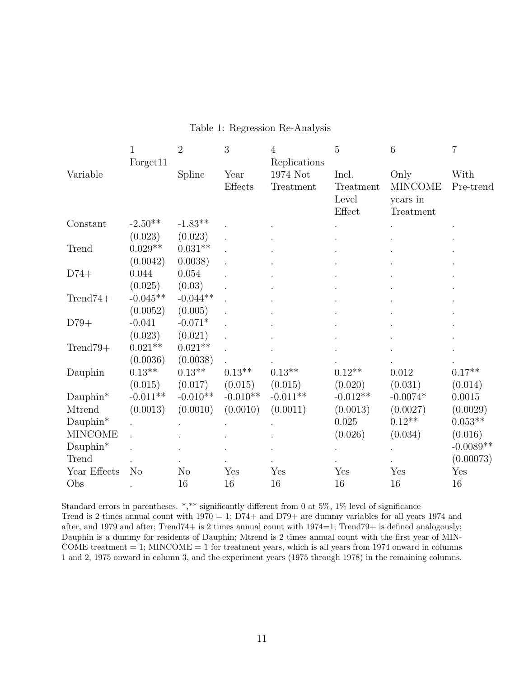|                      | $\mathbf{1}$   | $\overline{2}$    | 3                 | 4            | 5          | 6              | $\overline{7}$ |
|----------------------|----------------|-------------------|-------------------|--------------|------------|----------------|----------------|
|                      | Forget11       |                   |                   | Replications |            |                |                |
| Variable             |                | Spline            | Year              | 1974 Not     | Incl.      | Only           | With           |
|                      |                |                   | Effects           | Treatment    | Treatment  | <b>MINCOME</b> | Pre-trend      |
|                      |                |                   |                   |              | Level      | years in       |                |
|                      |                |                   |                   |              | Effect     | Treatment      |                |
| Constant             | $-2.50**$      | $-1.83**$         |                   |              |            |                |                |
|                      | (0.023)        | (0.023)           |                   |              |            |                |                |
| Trend                | $0.029**$      | $0.031**$         |                   |              |            |                |                |
|                      | (0.0042)       | 0.0038)           |                   |              |            |                |                |
| $D74+$               | 0.044          | 0.054             |                   |              |            |                |                |
|                      | (0.025)        | (0.03)            |                   |              |            |                |                |
| $Trend74+$           | $-0.045**$     | $-0.044**$        |                   |              |            |                |                |
|                      | (0.0052)       | (0.005)           |                   |              |            |                |                |
| $D79+$               | $-0.041$       | $-0.071*$         |                   |              |            |                |                |
|                      | (0.023)        | (0.021)           |                   |              |            |                |                |
| $Trend79+$           | $0.021**$      | $0.021**$         |                   |              |            |                |                |
|                      | (0.0036)       | (0.0038)          |                   |              |            |                |                |
| Dauphin              | $0.13**$       | $0.13^{\ast\ast}$ | $0.13^{\ast\ast}$ | $0.13**$     | $0.12**$   | 0.012          | $0.17**$       |
|                      | (0.015)        | (0.017)           | (0.015)           | (0.015)      | (0.020)    | (0.031)        | (0.014)        |
| $Dauphin*$           | $-0.011**$     | $-0.010**$        | $-0.010**$        | $-0.011**$   | $-0.012**$ | $-0.0074*$     | 0.0015         |
| Mtrend               | (0.0013)       | (0.0010)          | (0.0010)          | (0.0011)     | (0.0013)   | (0.0027)       | (0.0029)       |
| $\mathrm{Dauphin}^*$ |                |                   |                   |              | 0.025      | $0.12**$       | $0.053**$      |
| <b>MINCOME</b>       |                |                   |                   |              | (0.026)    | (0.034)        | (0.016)        |
| $Dauphin*$           |                |                   |                   |              |            |                | $-0.0089**$    |
| Trend                |                |                   |                   |              |            |                | (0.00073)      |
| Year Effects         | N <sub>o</sub> | N <sub>o</sub>    | Yes               | Yes          | Yes        | Yes            | Yes            |
| Obs                  |                | 16                | 16                | 16           | 16         | 16             | 16             |

#### Table 1: Regression Re-Analysis

Standard errors in parentheses. \*,\*\* significantly different from 0 at 5%, 1% level of significance Trend is 2 times annual count with  $1970 = 1$ ;  $D74+$  and  $D79+$  are dummy variables for all years 1974 and after, and 1979 and after; Trend74+ is 2 times annual count with 1974=1; Trend79+ is defined analogously; Dauphin is a dummy for residents of Dauphin; Mtrend is 2 times annual count with the first year of MIN-COME treatment  $= 1$ ; MINCOME  $= 1$  for treatment years, which is all years from 1974 onward in columns 1 and 2, 1975 onward in column 3, and the experiment years (1975 through 1978) in the remaining columns.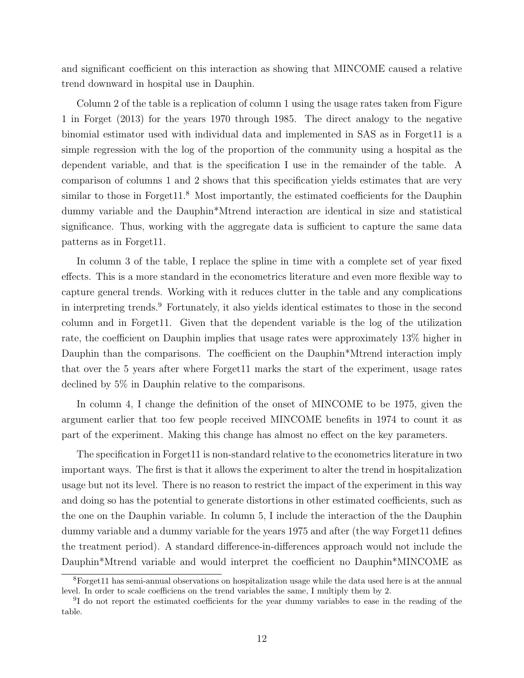and significant coefficient on this interaction as showing that MINCOME caused a relative trend downward in hospital use in Dauphin.

Column 2 of the table is a replication of column 1 using the usage rates taken from Figure 1 in Forget (2013) for the years 1970 through 1985. The direct analogy to the negative binomial estimator used with individual data and implemented in SAS as in Forget11 is a simple regression with the log of the proportion of the community using a hospital as the dependent variable, and that is the specification I use in the remainder of the table. A comparison of columns 1 and 2 shows that this specification yields estimates that are very similar to those in Forget  $11<sup>8</sup>$  Most importantly, the estimated coefficients for the Dauphin dummy variable and the Dauphin\*Mtrend interaction are identical in size and statistical significance. Thus, working with the aggregate data is sufficient to capture the same data patterns as in Forget11.

In column 3 of the table, I replace the spline in time with a complete set of year fixed effects. This is a more standard in the econometrics literature and even more flexible way to capture general trends. Working with it reduces clutter in the table and any complications in interpreting trends.<sup>9</sup> Fortunately, it also yields identical estimates to those in the second column and in Forget11. Given that the dependent variable is the log of the utilization rate, the coefficient on Dauphin implies that usage rates were approximately 13% higher in Dauphin than the comparisons. The coefficient on the Dauphin<sup>\*</sup>Mtrend interaction imply that over the 5 years after where Forget11 marks the start of the experiment, usage rates declined by 5% in Dauphin relative to the comparisons.

In column 4, I change the definition of the onset of MINCOME to be 1975, given the argument earlier that too few people received MINCOME benefits in 1974 to count it as part of the experiment. Making this change has almost no effect on the key parameters.

The specification in Forget11 is non-standard relative to the econometrics literature in two important ways. The first is that it allows the experiment to alter the trend in hospitalization usage but not its level. There is no reason to restrict the impact of the experiment in this way and doing so has the potential to generate distortions in other estimated coefficients, such as the one on the Dauphin variable. In column 5, I include the interaction of the the Dauphin dummy variable and a dummy variable for the years 1975 and after (the way Forget11 defines the treatment period). A standard difference-in-differences approach would not include the Dauphin\*Mtrend variable and would interpret the coefficient no Dauphin\*MINCOME as

<sup>8</sup>Forget11 has semi-annual observations on hospitalization usage while the data used here is at the annual level. In order to scale coefficiens on the trend variables the same, I multiply them by 2.

<sup>&</sup>lt;sup>9</sup>I do not report the estimated coefficients for the year dummy variables to ease in the reading of the table.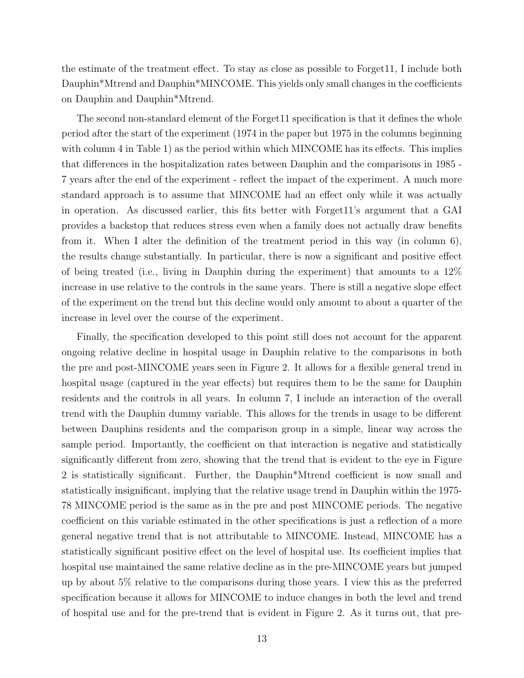the estimate of the treatment effect. To stay as close as possible to Forget11, I include both Dauphin\*Mtrend and Dauphin\*MINCOME. This yields only small changes in the coefficients on Dauphin and Dauphin\*Mtrend.

The second non-standard element of the Forget11 specification is that it defines the whole period after the start of the experiment (1974 in the paper but 1975 in the columns beginning with column 4 in Table 1) as the period within which MINCOME has its effects. This implies that differences in the hospitalization rates between Dauphin and the comparisons in 1985 - 7 years after the end of the experiment - reflect the impact of the experiment. A much more standard approach is to assume that MINCOME had an effect only while it was actually in operation. As discussed earlier, this fits better with Forget11's argument that a GAI provides a backstop that reduces stress even when a family does not actually draw benefits from it. When I alter the definition of the treatment period in this way (in column 6), the results change substantially. In particular, there is now a significant and positive effect of being treated (i.e., living in Dauphin during the experiment) that amounts to a 12% increase in use relative to the controls in the same years. There is still a negative slope effect of the experiment on the trend but this decline would only amount to about a quarter of the increase in level over the course of the experiment.

Finally, the specification developed to this point still does not account for the apparent ongoing relative decline in hospital usage in Dauphin relative to the comparisons in both the pre and post-MINCOME years seen in Figure 2. It allows for a flexible general trend in hospital usage (captured in the year effects) but requires them to be the same for Dauphin residents and the controls in all years. In column 7, I include an interaction of the overall trend with the Dauphin dummy variable. This allows for the trends in usage to be different between Dauphins residents and the comparison group in a simple, linear way across the sample period. Importantly, the coefficient on that interaction is negative and statistically significantly different from zero, showing that the trend that is evident to the eye in Figure 2 is statistically significant. Further, the Dauphin\*Mtrend coefficient is now small and statistically insignificant, implying that the relative usage trend in Dauphin within the 1975- 78 MINCOME period is the same as in the pre and post MINCOME periods. The negative coefficient on this variable estimated in the other specifications is just a reflection of a more general negative trend that is not attributable to MINCOME. Instead, MINCOME has a statistically significant positive effect on the level of hospital use. Its coefficient implies that hospital use maintained the same relative decline as in the pre-MINCOME years but jumped up by about 5% relative to the comparisons during those years. I view this as the preferred specification because it allows for MINCOME to induce changes in both the level and trend of hospital use and for the pre-trend that is evident in Figure 2. As it turns out, that pre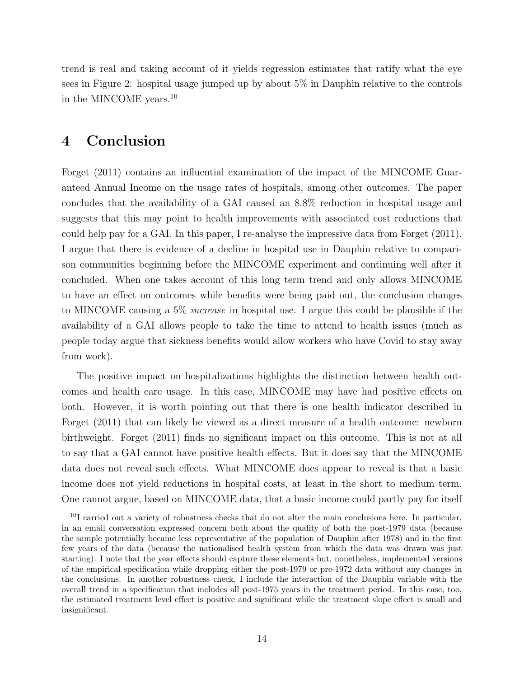trend is real and taking account of it yields regression estimates that ratify what the eye sees in Figure 2: hospital usage jumped up by about 5% in Dauphin relative to the controls in the MINCOME years.<sup>10</sup>

## 4 Conclusion

Forget (2011) contains an influential examination of the impact of the MINCOME Guaranteed Annual Income on the usage rates of hospitals, among other outcomes. The paper concludes that the availability of a GAI caused an 8.8% reduction in hospital usage and suggests that this may point to health improvements with associated cost reductions that could help pay for a GAI. In this paper, I re-analyse the impressive data from Forget (2011). I argue that there is evidence of a decline in hospital use in Dauphin relative to comparison communities beginning before the MINCOME experiment and continuing well after it concluded. When one takes account of this long term trend and only allows MINCOME to have an effect on outcomes while benefits were being paid out, the conclusion changes to MINCOME causing a 5% increase in hospital use. I argue this could be plausible if the availability of a GAI allows people to take the time to attend to health issues (much as people today argue that sickness benefits would allow workers who have Covid to stay away from work).

The positive impact on hospitalizations highlights the distinction between health outcomes and health care usage. In this case, MINCOME may have had positive effects on both. However, it is worth pointing out that there is one health indicator described in Forget (2011) that can likely be viewed as a direct measure of a health outcome: newborn birthweight. Forget (2011) finds no significant impact on this outcome. This is not at all to say that a GAI cannot have positive health effects. But it does say that the MINCOME data does not reveal such effects. What MINCOME does appear to reveal is that a basic income does not yield reductions in hospital costs, at least in the short to medium term. One cannot argue, based on MINCOME data, that a basic income could partly pay for itself

 $10I$  carried out a variety of robustness checks that do not alter the main conclusions here. In particular, in an email conversation expressed concern both about the quality of both the post-1979 data (because the sample potentially became less representative of the population of Dauphin after 1978) and in the first few years of the data (because the nationalised health system from which the data was drawn was just starting). I note that the year effects should capture these elements but, nonetheless, implemented versions of the empirical specification while dropping either the post-1979 or pre-1972 data without any changes in the conclusions. In another robustness check, I include the interaction of the Dauphin variable with the overall trend in a specification that includes all post-1975 years in the treatment period. In this case, too, the estimated treatment level effect is positive and significant while the treatment slope effect is small and insignificant.